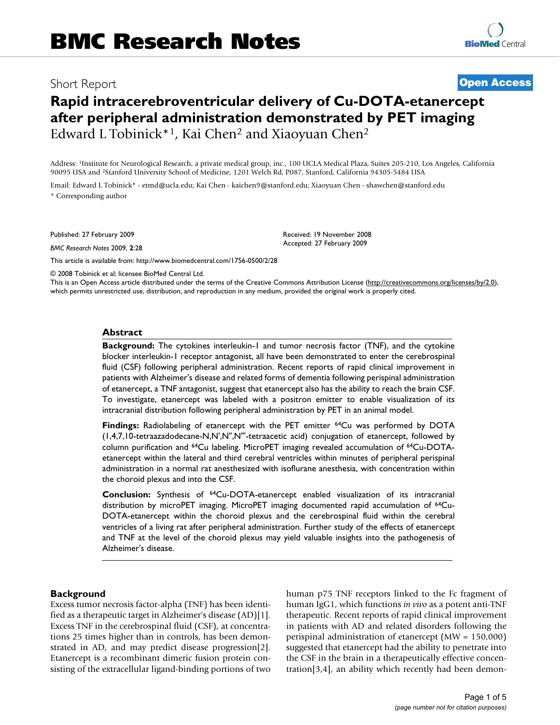# Short Report **[Open Access](http://www.biomedcentral.com/info/about/charter/)**

# **Rapid intracerebroventricular delivery of Cu-DOTA-etanercept after peripheral administration demonstrated by PET imaging** Edward L Tobinick\*1, Kai Chen2 and Xiaoyuan Chen2

Address: 1Institute for Neurological Research, a private medical group, inc., 100 UCLA Medical Plaza, Suites 205-210, Los Angeles, California 90095 USA and 2Stanford University School of Medicine, 1201 Welch Rd, P087, Stanford, California 94305-5484 USA

Email: Edward L Tobinick\* - etmd@ucla.edu; Kai Chen - kaichen9@stanford.edu; Xiaoyuan Chen - shawchen@stanford.edu \* Corresponding author

Published: 27 February 2009

*BMC Research Notes* 2009, **2**:28

[This article is available from: http://www.biomedcentral.com/1756-0500/2/28](http://www.biomedcentral.com/1756-0500/2/28)

© 2008 Tobinick et al; licensee BioMed Central Ltd.

This is an Open Access article distributed under the terms of the Creative Commons Attribution License [\(http://creativecommons.org/licenses/by/2.0\)](http://creativecommons.org/licenses/by/2.0), which permits unrestricted use, distribution, and reproduction in any medium, provided the original work is properly cited.

Received: 19 November 2008 Accepted: 27 February 2009

#### **Abstract**

**Background:** The cytokines interleukin-1 and tumor necrosis factor (TNF), and the cytokine blocker interleukin-1 receptor antagonist, all have been demonstrated to enter the cerebrospinal fluid (CSF) following peripheral administration. Recent reports of rapid clinical improvement in patients with Alzheimer's disease and related forms of dementia following perispinal administration of etanercept, a TNF antagonist, suggest that etanercept also has the ability to reach the brain CSF. To investigate, etanercept was labeled with a positron emitter to enable visualization of its intracranial distribution following peripheral administration by PET in an animal model.

Findings: Radiolabeling of etanercept with the PET emitter <sup>64</sup>Cu was performed by DOTA (1,4,7,10-tetraazadodecane-N,N',N",N"'-tetraacetic acid) conjugation of etanercept, followed by column purification and 64Cu labeling. MicroPET imaging revealed accumulation of 64Cu-DOTAetanercept within the lateral and third cerebral ventricles within minutes of peripheral perispinal administration in a normal rat anesthesized with isoflurane anesthesia, with concentration within the choroid plexus and into the CSF.

**Conclusion:** Synthesis of 64Cu-DOTA-etanercept enabled visualization of its intracranial distribution by microPET imaging. MicroPET imaging documented rapid accumulation of <sup>64</sup>Cu-DOTA-etanercept within the choroid plexus and the cerebrospinal fluid within the cerebral ventricles of a living rat after peripheral administration. Further study of the effects of etanercept and TNF at the level of the choroid plexus may yield valuable insights into the pathogenesis of Alzheimer's disease.

#### **Background**

Excess tumor necrosis factor-alpha (TNF) has been identified as a therapeutic target in Alzheimer's disease (AD)[1]. Excess TNF in the cerebrospinal fluid (CSF), at concentrations 25 times higher than in controls, has been demonstrated in AD, and may predict disease progression[2]. Etanercept is a recombinant dimeric fusion protein consisting of the extracellular ligand-binding portions of two human p75 TNF receptors linked to the Fc fragment of human IgG1, which functions *in vivo* as a potent anti-TNF therapeutic. Recent reports of rapid clinical improvement in patients with AD and related disorders following the perispinal administration of etanercept (MW = 150,000) suggested that etanercept had the ability to penetrate into the CSF in the brain in a therapeutically effective concentration[3,4], an ability which recently had been demon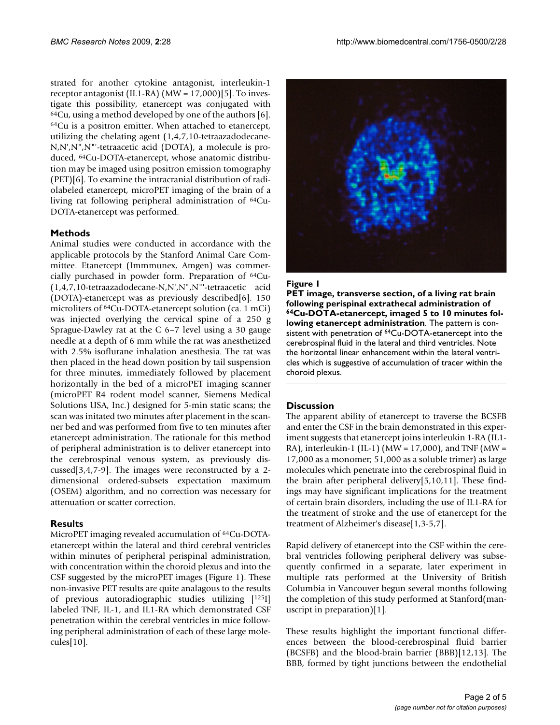strated for another cytokine antagonist, interleukin-1 receptor antagonist (IL1-RA) ( $MW = 17,000$ )[5]. To investigate this possibility, etanercept was conjugated with 64Cu, using a method developed by one of the authors [6]. 64Cu is a positron emitter. When attached to etanercept, utilizing the chelating agent (1,4,7,10-tetraazadodecane-N,N',N",N"'-tetraacetic acid (DOTA), a molecule is produced, 64Cu-DOTA-etanercept, whose anatomic distribution may be imaged using positron emission tomography (PET)[6]. To examine the intracranial distribution of radiolabeled etanercept, microPET imaging of the brain of a living rat following peripheral administration of 64Cu-DOTA-etanercept was performed.

#### **Methods**

Animal studies were conducted in accordance with the applicable protocols by the Stanford Animal Care Committee. Etanercept (Immmunex, Amgen) was commercially purchased in powder form. Preparation of 64Cu- (1,4,7,10-tetraazadodecane-N,N',N",N"'-tetraacetic acid (DOTA)-etanercept was as previously described[6]. 150 microliters of 64Cu-DOTA-etanercept solution (ca. 1 mCi) was injected overlying the cervical spine of a 250 g Sprague-Dawley rat at the C 6–7 level using a 30 gauge needle at a depth of 6 mm while the rat was anesthetized with 2.5% isoflurane inhalation anesthesia. The rat was then placed in the head down position by tail suspension for three minutes, immediately followed by placement horizontally in the bed of a microPET imaging scanner (microPET R4 rodent model scanner, Siemens Medical Solutions USA, Inc.) designed for 5-min static scans; the scan was initated two minutes after placement in the scanner bed and was performed from five to ten minutes after etanercept administration. The rationale for this method of peripheral administration is to deliver etanercept into the cerebrospinal venous system, as previously discussed[3,4,7-9]. The images were reconstructed by a 2 dimensional ordered-subsets expectation maximum (OSEM) algorithm, and no correction was necessary for attenuation or scatter correction.

## **Results**

MicroPET imaging revealed accumulation of 64Cu-DOTAetanercept within the lateral and third cerebral ventricles within minutes of peripheral perispinal administration, with concentration within the choroid plexus and into the CSF suggested by the microPET images (Figure 1). These non-invasive PET results are quite analagous to the results of previous autoradiographic studies utilizing [125I] labeled TNF, IL-1, and IL1-RA which demonstrated CSF penetration within the cerebral ventricles in mice following peripheral administration of each of these large molecules[10].



#### **Figure 1**

**PET image, transverse section, of a living rat brain following perispinal extrathecal administration of 64Cu-DOTA-etanercept, imaged 5 to 10 minutes following etanercept administration**. The pattern is consistent with penetration of <sup>64</sup>Cu-DOTA-etanercept into the cerebrospinal fluid in the lateral and third ventricles. Note the horizontal linear enhancement within the lateral ventricles which is suggestive of accumulation of tracer within the choroid plexus.

## **Discussion**

The apparent ability of etanercept to traverse the BCSFB and enter the CSF in the brain demonstrated in this experiment suggests that etanercept joins interleukin 1-RA (IL1- RA), interleukin-1 (IL-1) (MW = 17,000), and TNF (MW = 17,000 as a monomer; 51,000 as a soluble trimer) as large molecules which penetrate into the cerebrospinal fluid in the brain after peripheral delivery[5,10,11]. These findings may have significant implications for the treatment of certain brain disorders, including the use of IL1-RA for the treatment of stroke and the use of etanercept for the treatment of Alzheimer's disease[1,3-5,7].

Rapid delivery of etanercept into the CSF within the cerebral ventricles following peripheral delivery was subsequently confirmed in a separate, later experiment in multiple rats performed at the University of British Columbia in Vancouver begun several months following the completion of this study performed at Stanford(manuscript in preparation)[1].

These results highlight the important functional differences between the blood-cerebrospinal fluid barrier (BCSFB) and the blood-brain barrier (BBB)[12,13]. The BBB, formed by tight junctions between the endothelial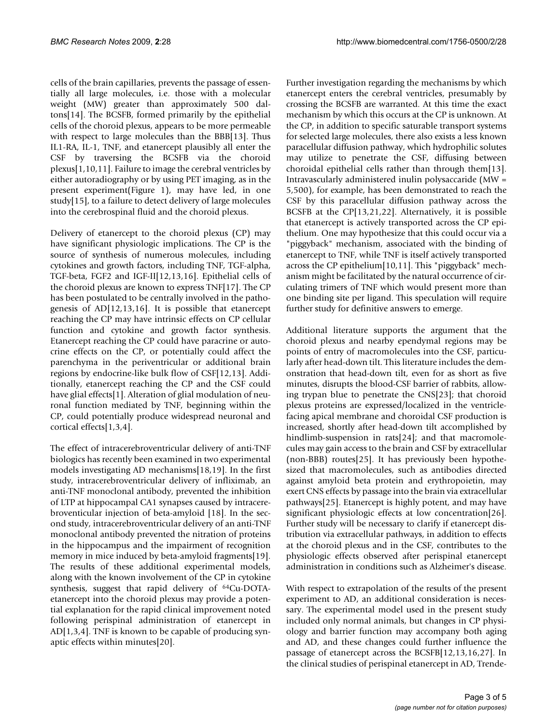cells of the brain capillaries, prevents the passage of essentially all large molecules, i.e. those with a molecular weight (MW) greater than approximately 500 daltons[14]. The BCSFB, formed primarily by the epithelial cells of the choroid plexus, appears to be more permeable with respect to large molecules than the BBB[13]. Thus IL1-RA, IL-1, TNF, and etanercept plausibly all enter the CSF by traversing the BCSFB via the choroid plexus[1,10,11]. Failure to image the cerebral ventricles by either autoradiography or by using PET imaging, as in the present experiment(Figure 1), may have led, in one study[15], to a failure to detect delivery of large molecules into the cerebrospinal fluid and the choroid plexus.

Delivery of etanercept to the choroid plexus (CP) may have significant physiologic implications. The CP is the source of synthesis of numerous molecules, including cytokines and growth factors, including TNF, TGF-alpha, TGF-beta, FGF2 and IGF-II[12,13,16]. Epithelial cells of the choroid plexus are known to express TNF[17]. The CP has been postulated to be centrally involved in the pathogenesis of AD[12,13,16]. It is possible that etanercept reaching the CP may have intrinsic effects on CP cellular function and cytokine and growth factor synthesis. Etanercept reaching the CP could have paracrine or autocrine effects on the CP, or potentially could affect the parenchyma in the periventricular or additional brain regions by endocrine-like bulk flow of CSF[12,13]. Additionally, etanercept reaching the CP and the CSF could have glial effects[1]. Alteration of glial modulation of neuronal function mediated by TNF, beginning within the CP, could potentially produce widespread neuronal and cortical effects[1,3,4].

The effect of intracerebroventricular delivery of anti-TNF biologics has recently been examined in two experimental models investigating AD mechanisms[18,19]. In the first study, intracerebroventricular delivery of infliximab, an anti-TNF monoclonal antibody, prevented the inhibition of LTP at hippocampal CA1 synapses caused by intracerebroventicular injection of beta-amyloid [18]. In the second study, intracerebroventricular delivery of an anti-TNF monoclonal antibody prevented the nitration of proteins in the hippocampus and the impairment of recognition memory in mice induced by beta-amyloid fragments[19]. The results of these additional experimental models, along with the known involvement of the CP in cytokine synthesis, suggest that rapid delivery of 64Cu-DOTAetanercept into the choroid plexus may provide a potential explanation for the rapid clinical improvement noted following perispinal administration of etanercept in AD[1,3,4]. TNF is known to be capable of producing synaptic effects within minutes[20].

Further investigation regarding the mechanisms by which etanercept enters the cerebral ventricles, presumably by crossing the BCSFB are warranted. At this time the exact mechanism by which this occurs at the CP is unknown. At the CP, in addition to specific saturable transport systems for selected large molecules, there also exists a less known paracellular diffusion pathway, which hydrophilic solutes may utilize to penetrate the CSF, diffusing between choroidal epithelial cells rather than through them[13]. Intravascularly administered inulin polysaccaride (MW = 5,500), for example, has been demonstrated to reach the CSF by this paracellular diffusion pathway across the BCSFB at the CP[13,21,22]. Alternatively, it is possible that etanercept is actively transported across the CP epithelium. One may hypothesize that this could occur via a "piggyback" mechanism, associated with the binding of etanercept to TNF, while TNF is itself actively transported across the CP epithelium[10,11]. This "piggyback" mechanism might be facilitated by the natural occurrence of circulating trimers of TNF which would present more than one binding site per ligand. This speculation will require further study for definitive answers to emerge.

Additional literature supports the argument that the choroid plexus and nearby ependymal regions may be points of entry of macromolecules into the CSF, particularly after head-down tilt. This literature includes the demonstration that head-down tilt, even for as short as five minutes, disrupts the blood-CSF barrier of rabbits, allowing trypan blue to penetrate the CNS[23]; that choroid plexus proteins are expressed/localized in the ventriclefacing apical membrane and choroidal CSF production is increased, shortly after head-down tilt accomplished by hindlimb-suspension in rats[24]; and that macromolecules may gain access to the brain and CSF by extracellular (non-BBB) routes[25]. It has previously been hypothesized that macromolecules, such as antibodies directed against amyloid beta protein and erythropoietin, may exert CNS effects by passage into the brain via extracellular pathways[25]. Etanercept is highly potent, and may have significant physiologic effects at low concentration[26]. Further study will be necessary to clarify if etanercept distribution via extracellular pathways, in addition to effects at the choroid plexus and in the CSF, contributes to the physiologic effects observed after perispinal etanercept administration in conditions such as Alzheimer's disease.

With respect to extrapolation of the results of the present experiment to AD, an additional consideration is necessary. The experimental model used in the present study included only normal animals, but changes in CP physiology and barrier function may accompany both aging and AD, and these changes could further influence the passage of etanercept across the BCSFB[12,13,16,27]. In the clinical studies of perispinal etanercept in AD, Trende-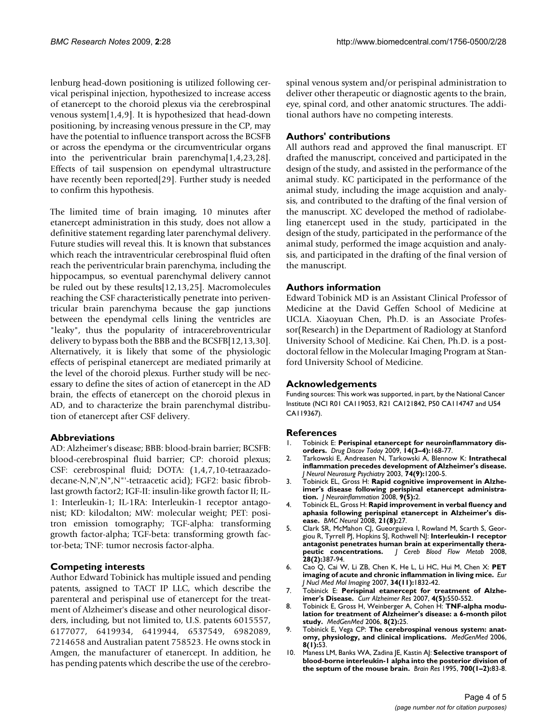lenburg head-down positioning is utilized following cervical perispinal injection, hypothesized to increase access of etanercept to the choroid plexus via the cerebrospinal venous system[1,4,9]. It is hypothesized that head-down positioning, by increasing venous pressure in the CP, may have the potential to influence transport across the BCSFB or across the ependyma or the circumventricular organs into the periventricular brain parenchyma[1,4,23,28]. Effects of tail suspension on ependymal ultrastructure have recently been reported[29]. Further study is needed to confirm this hypothesis.

The limited time of brain imaging, 10 minutes after etanercept administration in this study, does not allow a definitive statement regarding later parenchymal delivery. Future studies will reveal this. It is known that substances which reach the intraventricular cerebrospinal fluid often reach the periventricular brain parenchyma, including the hippocampus, so eventual parenchymal delivery cannot be ruled out by these results[12,13,25]. Macromolecules reaching the CSF characteristically penetrate into periventricular brain parenchyma because the gap junctions between the ependymal cells lining the ventricles are "leaky", thus the popularity of intracerebroventricular delivery to bypass both the BBB and the BCSFB[12,13,30]. Alternatively, it is likely that some of the physiologic effects of perispinal etanercept are mediated primarily at the level of the choroid plexus. Further study will be necessary to define the sites of action of etanercept in the AD brain, the effects of etanercept on the choroid plexus in AD, and to characterize the brain parenchymal distribution of etanercept after CSF delivery.

#### **Abbreviations**

AD: Alzheimer's disease; BBB: blood-brain barrier; BCSFB: blood-cerebrospinal fluid barrier; CP: choroid plexus; CSF: cerebrospinal fluid; DOTA: (1,4,7,10-tetraazadodecane-N,N',N",N"'-tetraacetic acid); FGF2: basic fibroblast growth factor2; IGF-II: insulin-like growth factor II; IL-1: Interleukin-1; IL-1RA: Interleukin-1 receptor antagonist; KD: kilodalton; MW: molecular weight; PET: positron emission tomography; TGF-alpha: transforming growth factor-alpha; TGF-beta: transforming growth factor-beta; TNF: tumor necrosis factor-alpha.

#### **Competing interests**

Author Edward Tobinick has multiple issued and pending patents, assigned to TACT IP LLC, which describe the parenteral and perispinal use of etanercept for the treatment of Alzheimer's disease and other neurological disorders, including, but not limited to, U.S. patents 6015557, 6177077, 6419934, 6419944, 6537549, 6982089, 7214658 and Australian patent 758523. He owns stock in Amgen, the manufacturer of etanercept. In addition, he has pending patents which describe the use of the cerebrospinal venous system and/or perispinal administration to deliver other therapeutic or diagnostic agents to the brain, eye, spinal cord, and other anatomic structures. The additional authors have no competing interests.

### **Authors' contributions**

All authors read and approved the final manuscript. ET drafted the manuscript, conceived and participated in the design of the study, and assisted in the performance of the animal study. KC participated in the performance of the animal study, including the image acquistion and analysis, and contributed to the drafting of the final version of the manuscript. XC developed the method of radiolabeling etanercept used in the study, participated in the design of the study, participated in the performance of the animal study, performed the image acquistion and analysis, and participated in the drafting of the final version of the manuscript.

#### **Authors information**

Edward Tobinick MD is an Assistant Clinical Professor of Medicine at the David Geffen School of Medicine at UCLA. Xiaoyuan Chen, Ph.D. is an Associate Professor(Research) in the Department of Radiology at Stanford University School of Medicine. Kai Chen, Ph.D. is a postdoctoral fellow in the Molecular Imaging Program at Stanford University School of Medicine.

#### **Acknowledgements**

Funding sources: This work was supported, in part, by the National Cancer Institute (NCI R01 CA119053, R21 CA121842, P50 CA114747 and U54 CA119367).

#### **References**

- 1. Tobinick E: **[Perispinal etanercept for neuroinflammatory dis](http://www.ncbi.nlm.nih.gov/entrez/query.fcgi?cmd=Retrieve&db=PubMed&dopt=Abstract&list_uids=19027875)[orders.](http://www.ncbi.nlm.nih.gov/entrez/query.fcgi?cmd=Retrieve&db=PubMed&dopt=Abstract&list_uids=19027875)** *Drug Discov Today* 2009, **14(3–4):**168-77.
- 2. Tarkowski E, Andreasen N, Tarkowski A, Blennow K: **[Intrathecal](http://www.ncbi.nlm.nih.gov/entrez/query.fcgi?cmd=Retrieve&db=PubMed&dopt=Abstract&list_uids=12933918) [inflammation precedes development of Alzheimer's disease.](http://www.ncbi.nlm.nih.gov/entrez/query.fcgi?cmd=Retrieve&db=PubMed&dopt=Abstract&list_uids=12933918)** *J Neurol Neurosurg Psychiatry* 2003, **74(9):**1200-5.
- 3. Tobinick EL, Gross H: **Rapid cognitive improvement in Alzheimer's disease following perispinal etanercept administration.** *J Neuroinflammation* 2008, **9(5):**2.
- 4. Tobinick EL, Gross H: **Rapid improvement in verbal fluency and aphasia following perispinal etanercept in Alzheimer's disease.** *BMC Neurol* 2008, **21(8):**27.
- 5. Clark SR, McMahon CJ, Gueorguieva I, Rowland M, Scarth S, Georgiou R, Tyrrell PJ, Hopkins SJ, Rothwell NJ: **[Interleukin-1 receptor](http://www.ncbi.nlm.nih.gov/entrez/query.fcgi?cmd=Retrieve&db=PubMed&dopt=Abstract&list_uids=17684519)** antagonist penetrates human brain at experimentally thera-<br>peutic concentrations. J Cereb Blood Flow Metab 2008, **[peutic concentrations.](http://www.ncbi.nlm.nih.gov/entrez/query.fcgi?cmd=Retrieve&db=PubMed&dopt=Abstract&list_uids=17684519)** *J Cereb Blood Flow Metab* 2008, **28(2):**387-94.
- 6. Cao Q, Cai W, Li ZB, Chen K, He L, Li HC, Hui M, Chen X: **[PET](http://www.ncbi.nlm.nih.gov/entrez/query.fcgi?cmd=Retrieve&db=PubMed&dopt=Abstract&list_uids=17541586) [imaging of acute and chronic inflammation in living mice.](http://www.ncbi.nlm.nih.gov/entrez/query.fcgi?cmd=Retrieve&db=PubMed&dopt=Abstract&list_uids=17541586)** *Eur J Nucl Med Mol Imaging* 2007, **34(11):**1832-42.
- 7. Tobinick E: **[Perispinal etanercept for treatment of Alzhe](http://www.ncbi.nlm.nih.gov/entrez/query.fcgi?cmd=Retrieve&db=PubMed&dopt=Abstract&list_uids=18220520)[imer's Disease.](http://www.ncbi.nlm.nih.gov/entrez/query.fcgi?cmd=Retrieve&db=PubMed&dopt=Abstract&list_uids=18220520)** *Curr Alzheimer Res* 2007, **4(5):**550-552.
- 8. Tobinick E, Gross H, Weinberger A, Cohen H: **[TNF-alpha modu](http://www.ncbi.nlm.nih.gov/entrez/query.fcgi?cmd=Retrieve&db=PubMed&dopt=Abstract&list_uids=16926764)[lation for treatment of Alzheimer's disease: a 6-month pilot](http://www.ncbi.nlm.nih.gov/entrez/query.fcgi?cmd=Retrieve&db=PubMed&dopt=Abstract&list_uids=16926764) [study.](http://www.ncbi.nlm.nih.gov/entrez/query.fcgi?cmd=Retrieve&db=PubMed&dopt=Abstract&list_uids=16926764)** *MedGenMed* 2006, **8(2):**25.
- 9. Tobinick E, Vega CP: **[The cerebrospinal venous system: anat](http://www.ncbi.nlm.nih.gov/entrez/query.fcgi?cmd=Retrieve&db=PubMed&dopt=Abstract&list_uids=16915183)[omy, physiology, and clinical implications.](http://www.ncbi.nlm.nih.gov/entrez/query.fcgi?cmd=Retrieve&db=PubMed&dopt=Abstract&list_uids=16915183)** *MedGenMed* 2006, **8(1):**53.
- 10. Maness LM, Banks WA, Zadina JE, Kastin AJ: **[Selective transport of](http://www.ncbi.nlm.nih.gov/entrez/query.fcgi?cmd=Retrieve&db=PubMed&dopt=Abstract&list_uids=8624731) [blood-borne interleukin-1 alpha into the posterior division of](http://www.ncbi.nlm.nih.gov/entrez/query.fcgi?cmd=Retrieve&db=PubMed&dopt=Abstract&list_uids=8624731) [the septum of the mouse brain.](http://www.ncbi.nlm.nih.gov/entrez/query.fcgi?cmd=Retrieve&db=PubMed&dopt=Abstract&list_uids=8624731)** *Brain Res* 1995, **700(1–2):**83-8.